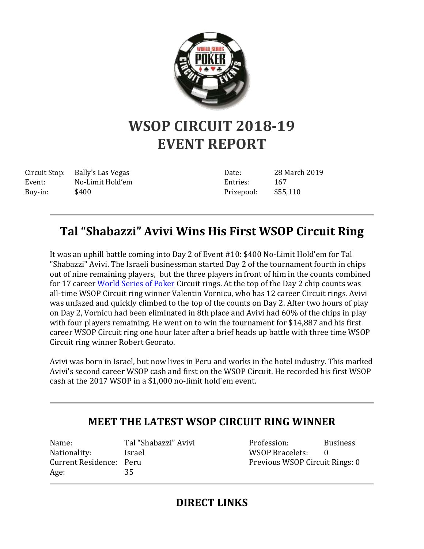

## **WSOP CIRCUIT 2018-19 EVENT REPORT**

Circuit Stop: Bally's Las Vegas Event: No-Limit Hold'em Buy-in: \$400

Date: 28 March 2019 Entries: 167 Prizepool: \$55,110

## **Tal "Shabazzi" Avivi Wins His First WSOP Circuit Ring**

It was an uphill battle coming into Day 2 of Event #10: \$400 No-Limit Hold'em for Tal "Shabazzi" Avivi. The Israeli businessman started Day 2 of the tournament fourth in chips out of nine remaining players, but the three players in front of him in the counts combined for 17 career [World Series of Poker](http://www.wsop.com/) Circuit rings. At the top of the Day 2 chip counts was all-time WSOP Circuit ring winner Valentin Vornicu, who has 12 career Circuit rings. Avivi was unfazed and quickly climbed to the top of the counts on Day 2. After two hours of play on Day 2, Vornicu had been eliminated in 8th place and Avivi had 60% of the chips in play with four players remaining. He went on to win the tournament for \$14,887 and his first career WSOP Circuit ring one hour later after a brief heads up battle with three time WSOP Circuit ring winner Robert Georato.

Avivi was born in Israel, but now lives in Peru and works in the hotel industry. This marked Avivi's second career WSOP cash and first on the WSOP Circuit. He recorded his first WSOP cash at the 2017 WSOP in a \$1,000 no-limit hold'em event.

## **MEET THE LATEST WSOP CIRCUIT RING WINNER**

Name: Tal "Shabazzi" Avivi Nationality: Israel Current Residence: Peru Age: 35

Profession: Business WSOP Bracelets: 0 Previous WSOP Circuit Rings: 0